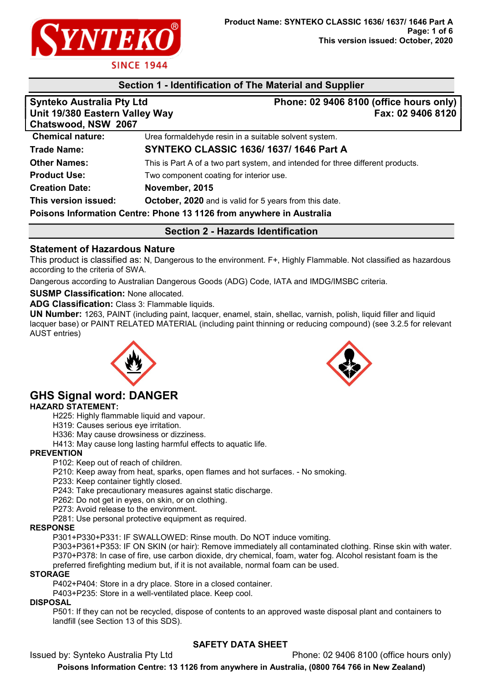

# Section 1 - Identification of The Material and Supplier

| <b>Synteko Australia Pty Ltd</b><br>Unit 19/380 Eastern Valley Way<br>Chatswood, NSW 2067 | Phone: 02 9406 8100 (office hours only)<br>Fax: 02 9406 8120                    |
|-------------------------------------------------------------------------------------------|---------------------------------------------------------------------------------|
| <b>Chemical nature:</b>                                                                   | Urea formaldehyde resin in a suitable solvent system.                           |
| <b>Trade Name:</b>                                                                        | <b>SYNTEKO CLASSIC 1636/1637/1646 Part A</b>                                    |
| <b>Other Names:</b>                                                                       | This is Part A of a two part system, and intended for three different products. |
| <b>Product Use:</b>                                                                       | Two component coating for interior use.                                         |
| <b>Creation Date:</b>                                                                     | November, 2015                                                                  |
| This version issued:                                                                      | October, 2020 and is valid for 5 years from this date.                          |
|                                                                                           | Poisons Information Centre: Phone 13 1126 from anywhere in Australia            |

## Section 2 - Hazards Identification

## Statement of Hazardous Nature

This product is classified as: N, Dangerous to the environment. F+, Highly Flammable. Not classified as hazardous according to the criteria of SWA.

Dangerous according to Australian Dangerous Goods (ADG) Code, IATA and IMDG/IMSBC criteria.

SUSMP Classification: None allocated.

ADG Classification: Class 3: Flammable liquids.

UN Number: 1263, PAINT (including paint, lacquer, enamel, stain, shellac, varnish, polish, liquid filler and liquid lacquer base) or PAINT RELATED MATERIAL (including paint thinning or reducing compound) (see 3.2.5 for relevant AUST entries)



# GHS Signal word: DANGER

#### HAZARD STATEMENT:

H225: Highly flammable liquid and vapour.

- H319: Causes serious eye irritation.
- H336: May cause drowsiness or dizziness.

H413: May cause long lasting harmful effects to aquatic life.

#### **PREVENTION**

P102: Keep out of reach of children.

P210: Keep away from heat, sparks, open flames and hot surfaces. - No smoking.

P233: Keep container tightly closed.

P243: Take precautionary measures against static discharge.

P262: Do not get in eyes, on skin, or on clothing.

P273: Avoid release to the environment.

P281: Use personal protective equipment as required.

#### RESPONSE

P301+P330+P331: IF SWALLOWED: Rinse mouth. Do NOT induce vomiting.

P303+P361+P353: IF ON SKIN (or hair): Remove immediately all contaminated clothing. Rinse skin with water. P370+P378: In case of fire, use carbon dioxide, dry chemical, foam, water fog. Alcohol resistant foam is the preferred firefighting medium but, if it is not available, normal foam can be used.

#### **STORAGE**

P402+P404: Store in a dry place. Store in a closed container.

P403+P235: Store in a well-ventilated place. Keep cool.

### DISPOSAL

P501: If they can not be recycled, dispose of contents to an approved waste disposal plant and containers to landfill (see Section 13 of this SDS).

### SAFETY DATA SHEET

Issued by: Synteko Australia Pty Ltd **Phone: 02 9406 8100** (office hours only) Poisons Information Centre: 13 1126 from anywhere in Australia, (0800 764 766 in New Zealand)

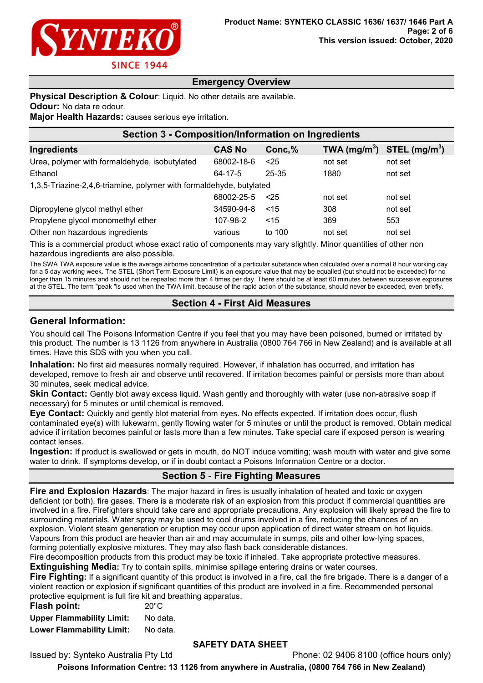

# Emergency Overview

#### Physical Description & Colour: Liquid. No other details are available.

**Odour:** No data re odour.

Major Health Hazards: causes serious eye irritation.

| <b>Section 3 - Composition/Information on Ingredients</b>           |               |        |                          |                           |
|---------------------------------------------------------------------|---------------|--------|--------------------------|---------------------------|
| Ingredients                                                         | <b>CAS No</b> | Conc,% | TWA (mg/m <sup>3</sup> ) | STEL (mg/m <sup>3</sup> ) |
| Urea, polymer with formaldehyde, isobutylated                       | 68002-18-6    | $<$ 25 | not set                  | not set                   |
| Ethanol                                                             | $64 - 17 - 5$ | 25-35  | 1880                     | not set                   |
| 1,3,5-Triazine-2,4,6-triamine, polymer with formaldehyde, butylated |               |        |                          |                           |
|                                                                     | 68002-25-5    | < 25   | not set                  | not set                   |
| Dipropylene glycol methyl ether                                     | 34590-94-8    | ~15    | 308                      | not set                   |
| Propylene glycol monomethyl ether                                   | 107-98-2      | $<$ 15 | 369                      | 553                       |
| Other non hazardous ingredients                                     | various       | to 100 | not set                  | not set                   |

This is a commercial product whose exact ratio of components may vary slightly. Minor quantities of other non hazardous ingredients are also possible.

The SWA TWA exposure value is the average airborne concentration of a particular substance when calculated over a normal 8 hour working day for a 5 day working week. The STEL (Short Term Exposure Limit) is an exposure value that may be equalled (but should not be exceeded) for no longer than 15 minutes and should not be repeated more than 4 times per day. There should be at least 60 minutes between successive exposures at the STEL. The term "peak "is used when the TWA limit, because of the rapid action of the substance, should never be exceeded, even briefly.

## Section 4 - First Aid Measures

#### General Information:

You should call The Poisons Information Centre if you feel that you may have been poisoned, burned or irritated by this product. The number is 13 1126 from anywhere in Australia (0800 764 766 in New Zealand) and is available at all times. Have this SDS with you when you call.

Inhalation: No first aid measures normally required. However, if inhalation has occurred, and irritation has developed, remove to fresh air and observe until recovered. If irritation becomes painful or persists more than about 30 minutes, seek medical advice.

Skin Contact: Gently blot away excess liquid. Wash gently and thoroughly with water (use non-abrasive soap if necessary) for 5 minutes or until chemical is removed.

Eye Contact: Quickly and gently blot material from eyes. No effects expected. If irritation does occur, flush contaminated eye(s) with lukewarm, gently flowing water for 5 minutes or until the product is removed. Obtain medical advice if irritation becomes painful or lasts more than a few minutes. Take special care if exposed person is wearing contact lenses.

Ingestion: If product is swallowed or gets in mouth, do NOT induce vomiting; wash mouth with water and give some water to drink. If symptoms develop, or if in doubt contact a Poisons Information Centre or a doctor.

# Section 5 - Fire Fighting Measures

**Fire and Explosion Hazards:** The major hazard in fires is usually inhalation of heated and toxic or oxygen deficient (or both), fire gases. There is a moderate risk of an explosion from this product if commercial quantities are involved in a fire. Firefighters should take care and appropriate precautions. Any explosion will likely spread the fire to surrounding materials. Water spray may be used to cool drums involved in a fire, reducing the chances of an explosion. Violent steam generation or eruption may occur upon application of direct water stream on hot liquids. Vapours from this product are heavier than air and may accumulate in sumps, pits and other low-lying spaces, forming potentially explosive mixtures. They may also flash back considerable distances.

Fire decomposition products from this product may be toxic if inhaled. Take appropriate protective measures.

Extinguishing Media: Try to contain spills, minimise spillage entering drains or water courses.

Fire Fighting: If a significant quantity of this product is involved in a fire, call the fire brigade. There is a danger of a violent reaction or explosion if significant quantities of this product are involved in a fire. Recommended personal protective equipment is full fire kit and breathing apparatus.

| Flash point:                     | $20^{\circ}$ C |
|----------------------------------|----------------|
| <b>Upper Flammability Limit:</b> | No data.       |
| <b>Lower Flammability Limit:</b> | No data.       |

# SAFETY DATA SHEET

Issued by: Synteko Australia Pty Ltd Phone: 02 9406 8100 (office hours only)

Poisons Information Centre: 13 1126 from anywhere in Australia, (0800 764 766 in New Zealand)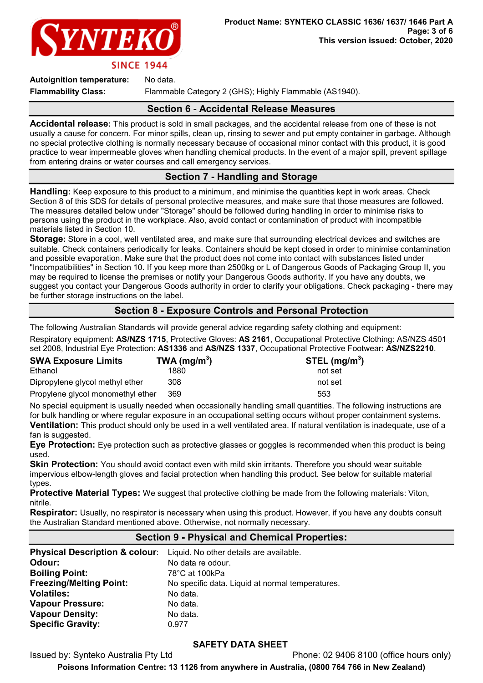

**SINCE 1944** 

Autoignition temperature: No data.

Flammability Class: Flammable Category 2 (GHS); Highly Flammable (AS1940).

### Section 6 - Accidental Release Measures

Accidental release: This product is sold in small packages, and the accidental release from one of these is not usually a cause for concern. For minor spills, clean up, rinsing to sewer and put empty container in garbage. Although no special protective clothing is normally necessary because of occasional minor contact with this product, it is good practice to wear impermeable gloves when handling chemical products. In the event of a major spill, prevent spillage from entering drains or water courses and call emergency services.

# Section 7 - Handling and Storage

Handling: Keep exposure to this product to a minimum, and minimise the quantities kept in work areas. Check Section 8 of this SDS for details of personal protective measures, and make sure that those measures are followed. The measures detailed below under "Storage" should be followed during handling in order to minimise risks to persons using the product in the workplace. Also, avoid contact or contamination of product with incompatible materials listed in Section 10.

Storage: Store in a cool, well ventilated area, and make sure that surrounding electrical devices and switches are suitable. Check containers periodically for leaks. Containers should be kept closed in order to minimise contamination and possible evaporation. Make sure that the product does not come into contact with substances listed under "Incompatibilities" in Section 10. If you keep more than 2500kg or L of Dangerous Goods of Packaging Group II, you may be required to license the premises or notify your Dangerous Goods authority. If you have any doubts, we suggest you contact your Dangerous Goods authority in order to clarify your obligations. Check packaging - there may be further storage instructions on the label.

## Section 8 - Exposure Controls and Personal Protection

The following Australian Standards will provide general advice regarding safety clothing and equipment: Respiratory equipment: AS/NZS 1715, Protective Gloves: AS 2161, Occupational Protective Clothing: AS/NZS 4501 set 2008, Industrial Eye Protection: AS1336 and AS/NZS 1337, Occupational Protective Footwear: AS/NZS2210.

| <b>SWA Exposure Limits</b>        | TWA ( $mg/m3$ ) | STEL $(mg/m3)$ |
|-----------------------------------|-----------------|----------------|
| Ethanol                           | 1880            | not set        |
| Dipropylene glycol methyl ether   | 308             | not set        |
| Propylene glycol monomethyl ether | 369             | 553            |

No special equipment is usually needed when occasionally handling small quantities. The following instructions are for bulk handling or where regular exposure in an occupational setting occurs without proper containment systems. Ventilation: This product should only be used in a well ventilated area. If natural ventilation is inadequate, use of a

fan is suggested.

Eye Protection: Eye protection such as protective glasses or goggles is recommended when this product is being used.

**Skin Protection:** You should avoid contact even with mild skin irritants. Therefore you should wear suitable impervious elbow-length gloves and facial protection when handling this product. See below for suitable material types.

**Protective Material Types:** We suggest that protective clothing be made from the following materials: Viton, nitrile.

Respirator: Usually, no respirator is necessary when using this product. However, if you have any doubts consult the Australian Standard mentioned above. Otherwise, not normally necessary.

# Section 9 - Physical and Chemical Properties:

|                                | Physical Description & colour: Liquid. No other details are available. |
|--------------------------------|------------------------------------------------------------------------|
| Odour:                         | No data re odour.                                                      |
| <b>Boiling Point:</b>          | 78°C at 100kPa                                                         |
| <b>Freezing/Melting Point:</b> | No specific data. Liquid at normal temperatures.                       |
| <b>Volatiles:</b>              | No data.                                                               |
| <b>Vapour Pressure:</b>        | No data.                                                               |
| <b>Vapour Density:</b>         | No data.                                                               |
| <b>Specific Gravity:</b>       | 0.977                                                                  |

### SAFETY DATA SHEET

Issued by: Synteko Australia Pty Ltd Phone: 02 9406 8100 (office hours only) Poisons Information Centre: 13 1126 from anywhere in Australia, (0800 764 766 in New Zealand)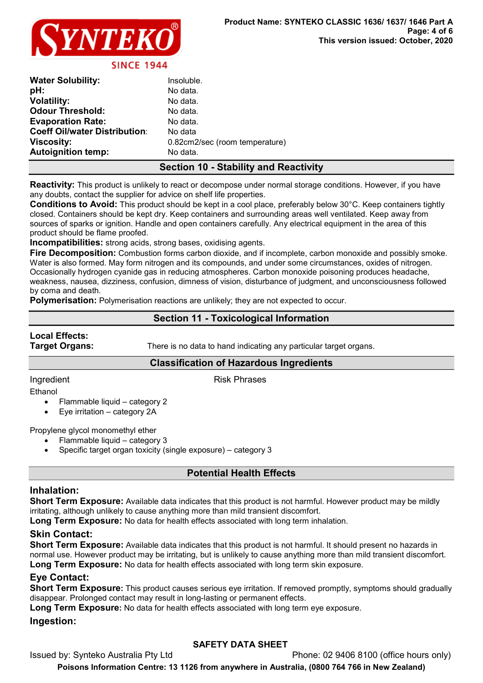

| <b>Water Solubility:</b>             | Insoluble.                     |
|--------------------------------------|--------------------------------|
| pH:                                  | No data.                       |
| <b>Volatility:</b>                   | No data.                       |
| <b>Odour Threshold:</b>              | No data.                       |
| <b>Evaporation Rate:</b>             | No data.                       |
| <b>Coeff Oil/water Distribution:</b> | No data                        |
| <b>Viscosity:</b>                    | 0.82cm2/sec (room temperature) |
| <b>Autoignition temp:</b>            | No data.                       |

# Section 10 - Stability and Reactivity

Reactivity: This product is unlikely to react or decompose under normal storage conditions. However, if you have any doubts, contact the supplier for advice on shelf life properties.

Conditions to Avoid: This product should be kept in a cool place, preferably below 30°C. Keep containers tightly closed. Containers should be kept dry. Keep containers and surrounding areas well ventilated. Keep away from sources of sparks or ignition. Handle and open containers carefully. Any electrical equipment in the area of this product should be flame proofed.

Incompatibilities: strong acids, strong bases, oxidising agents.

Fire Decomposition: Combustion forms carbon dioxide, and if incomplete, carbon monoxide and possibly smoke. Water is also formed. May form nitrogen and its compounds, and under some circumstances, oxides of nitrogen. Occasionally hydrogen cyanide gas in reducing atmospheres. Carbon monoxide poisoning produces headache, weakness, nausea, dizziness, confusion, dimness of vision, disturbance of judgment, and unconsciousness followed by coma and death.

Polymerisation: Polymerisation reactions are unlikely; they are not expected to occur.

# Section 11 - Toxicological Information

# Local Effects:

**Target Organs:** There is no data to hand indicating any particular target organs.

### Classification of Hazardous Ingredients

Ingredient **Risk Phrases** 

Ethanol

- Flammable liquid category 2
- Eye irritation category 2A

Propylene glycol monomethyl ether

- Flammable liquid category 3
- Specific target organ toxicity (single exposure) category 3

# Potential Health Effects

### Inhalation:

Short Term Exposure: Available data indicates that this product is not harmful. However product may be mildly irritating, although unlikely to cause anything more than mild transient discomfort.

Long Term Exposure: No data for health effects associated with long term inhalation.

### Skin Contact:

Short Term Exposure: Available data indicates that this product is not harmful. It should present no hazards in normal use. However product may be irritating, but is unlikely to cause anything more than mild transient discomfort. Long Term Exposure: No data for health effects associated with long term skin exposure.

### Eye Contact:

Short Term Exposure: This product causes serious eye irritation. If removed promptly, symptoms should gradually disappear. Prolonged contact may result in long-lasting or permanent effects.

Long Term Exposure: No data for health effects associated with long term eye exposure.

### Ingestion:

# SAFETY DATA SHEET

Issued by: Synteko Australia Pty Ltd **Phone: 02 9406 8100** (office hours only) Poisons Information Centre: 13 1126 from anywhere in Australia, (0800 764 766 in New Zealand)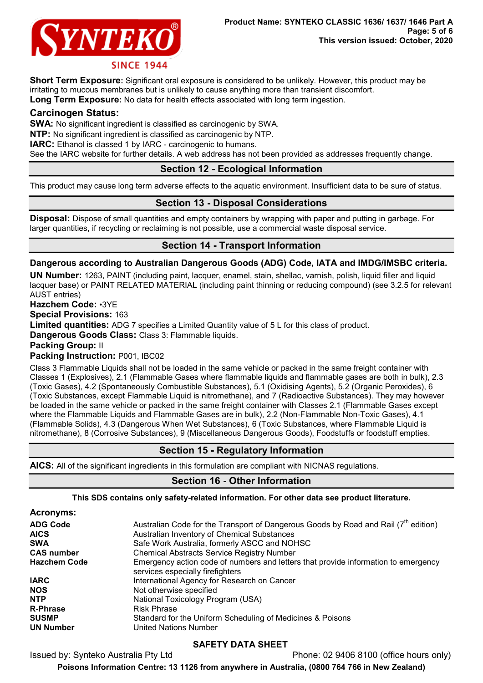

Short Term Exposure: Significant oral exposure is considered to be unlikely. However, this product may be irritating to mucous membranes but is unlikely to cause anything more than transient discomfort.

Long Term Exposure: No data for health effects associated with long term ingestion.

#### Carcinogen Status:

SWA: No significant ingredient is classified as carcinogenic by SWA.

NTP: No significant ingredient is classified as carcinogenic by NTP.

IARC: Ethanol is classed 1 by IARC - carcinogenic to humans.

See the IARC website for further details. A web address has not been provided as addresses frequently change.

# Section 12 - Ecological Information

This product may cause long term adverse effects to the aquatic environment. Insufficient data to be sure of status.

# Section 13 - Disposal Considerations

Disposal: Dispose of small quantities and empty containers by wrapping with paper and putting in garbage. For larger quantities, if recycling or reclaiming is not possible, use a commercial waste disposal service.

# Section 14 - Transport Information

#### Dangerous according to Australian Dangerous Goods (ADG) Code, IATA and IMDG/IMSBC criteria.

UN Number: 1263, PAINT (including paint, lacquer, enamel, stain, shellac, varnish, polish, liquid filler and liquid lacquer base) or PAINT RELATED MATERIAL (including paint thinning or reducing compound) (see 3.2.5 for relevant AUST entries)

Hazchem Code: •3YE

Special Provisions: 163

Limited quantities: ADG 7 specifies a Limited Quantity value of 5 L for this class of product.

Dangerous Goods Class: Class 3: Flammable liquids.

Packing Group: II

Packing Instruction: P001, IBC02

Class 3 Flammable Liquids shall not be loaded in the same vehicle or packed in the same freight container with Classes 1 (Explosives), 2.1 (Flammable Gases where flammable liquids and flammable gases are both in bulk), 2.3 (Toxic Gases), 4.2 (Spontaneously Combustible Substances), 5.1 (Oxidising Agents), 5.2 (Organic Peroxides), 6 (Toxic Substances, except Flammable Liquid is nitromethane), and 7 (Radioactive Substances). They may however be loaded in the same vehicle or packed in the same freight container with Classes 2.1 (Flammable Gases except where the Flammable Liquids and Flammable Gases are in bulk), 2.2 (Non-Flammable Non-Toxic Gases), 4.1 (Flammable Solids), 4.3 (Dangerous When Wet Substances), 6 (Toxic Substances, where Flammable Liquid is nitromethane), 8 (Corrosive Substances), 9 (Miscellaneous Dangerous Goods), Foodstuffs or foodstuff empties.

### Section 15 - Regulatory Information

AICS: All of the significant ingredients in this formulation are compliant with NICNAS regulations.

### Section 16 - Other Information

#### This SDS contains only safety-related information. For other data see product literature.

# Acronyms:

| <b>ADG Code</b>     | Australian Code for the Transport of Dangerous Goods by Road and Rail $(7th$ edition)                                  |
|---------------------|------------------------------------------------------------------------------------------------------------------------|
| <b>AICS</b>         | Australian Inventory of Chemical Substances                                                                            |
| <b>SWA</b>          | Safe Work Australia, formerly ASCC and NOHSC                                                                           |
| <b>CAS number</b>   | <b>Chemical Abstracts Service Registry Number</b>                                                                      |
| <b>Hazchem Code</b> | Emergency action code of numbers and letters that provide information to emergency<br>services especially firefighters |
| <b>IARC</b>         | International Agency for Research on Cancer                                                                            |
| <b>NOS</b>          | Not otherwise specified                                                                                                |
| <b>NTP</b>          | National Toxicology Program (USA)                                                                                      |
| <b>R-Phrase</b>     | <b>Risk Phrase</b>                                                                                                     |
| <b>SUSMP</b>        | Standard for the Uniform Scheduling of Medicines & Poisons                                                             |
| <b>UN Number</b>    | United Nations Number                                                                                                  |

# SAFETY DATA SHEET

Issued by: Synteko Australia Pty Ltd Phone: 02 9406 8100 (office hours only)

Poisons Information Centre: 13 1126 from anywhere in Australia, (0800 764 766 in New Zealand)